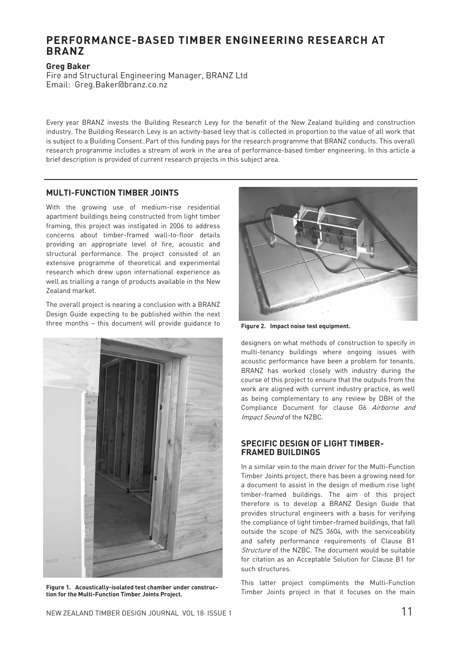# **PERFORMANCE-BASED TIMBER ENGINEERING RESEARCH AT BRANZ**

**Greg Baker**  Fire and Structural Engineering Manager, BRANZ Ltd Email: Greg.Baker@branz.co.nz

Every year BRANZ invests the Building Research Levy for the benefit of the New Zealand building and construction industry. The Building Research Levy is an activity-based levy that is collected in proportion to the value of all work that is subject to a Building Consent. Part of this funding pays for the research programme that BRANZ conducts. This overall research programme includes a stream of work in the area of performance-based timber engineering. In this article a brief description is provided of current research projects in this subject area.

# **MULTI-FUNCTION TIMBER JOINTS**

With the growing use of medium-rise residential apartment buildings being constructed from light timber framing, this project was instigated in 2006 to address concerns about timber-framed wall-to-floor details providing an appropriate level of fire, acoustic and structural performance. The project consisted of an extensive programme of theoretical and experimental research which drew upon international experience as well as trialling a range of products available in the New Zealand market.

The overall project is nearing a conclusion with a BRANZ Design Guide expecting to be published within the next three months – this document will provide guidance to



**tion for the Multi-Function Timber Joints Project.** 



**Figure 2. Impact noise test equipment.** 

designers on what methods of construction to specify in multi-tenancy buildings where ongoing issues with acoustic performance have been a problem for tenants. BRANZ has worked closely with industry during the course of this project to ensure that the outputs from the work are aligned with current industry practice, as well as being complementary to any review by DBH of the Compliance Document for clause G6 Airborne and Impact Sound of the NZBC.

## **SPECIFIC DESIGN OF LIGHT TIMBER-FRAMED BUILDINGS**

In a similar vein to the main driver for the Multi-Function Timber Joints project, there has been a growing need for a document to assist in the design of medium rise light timber-framed buildings. The aim of this project therefore is to develop a BRANZ Design Guide that provides structural engineers with a basis for verifying the compliance of light timber-framed buildings, that fall outside the scope of NZS 3604, with the serviceability and safety performance requirements of Clause B1 Structure of the NZBC. The document would be suitable for citation as an Acceptable Solution for Clause B1 for such structures.

This latter project compliments the Multi-Function Figure 1. Acoustically-isolated test chamber under construc-<br> **Figure 1. Acoustically-isolated test chamber under construc-**<br>
Timber Joints project in that it focuses on the main